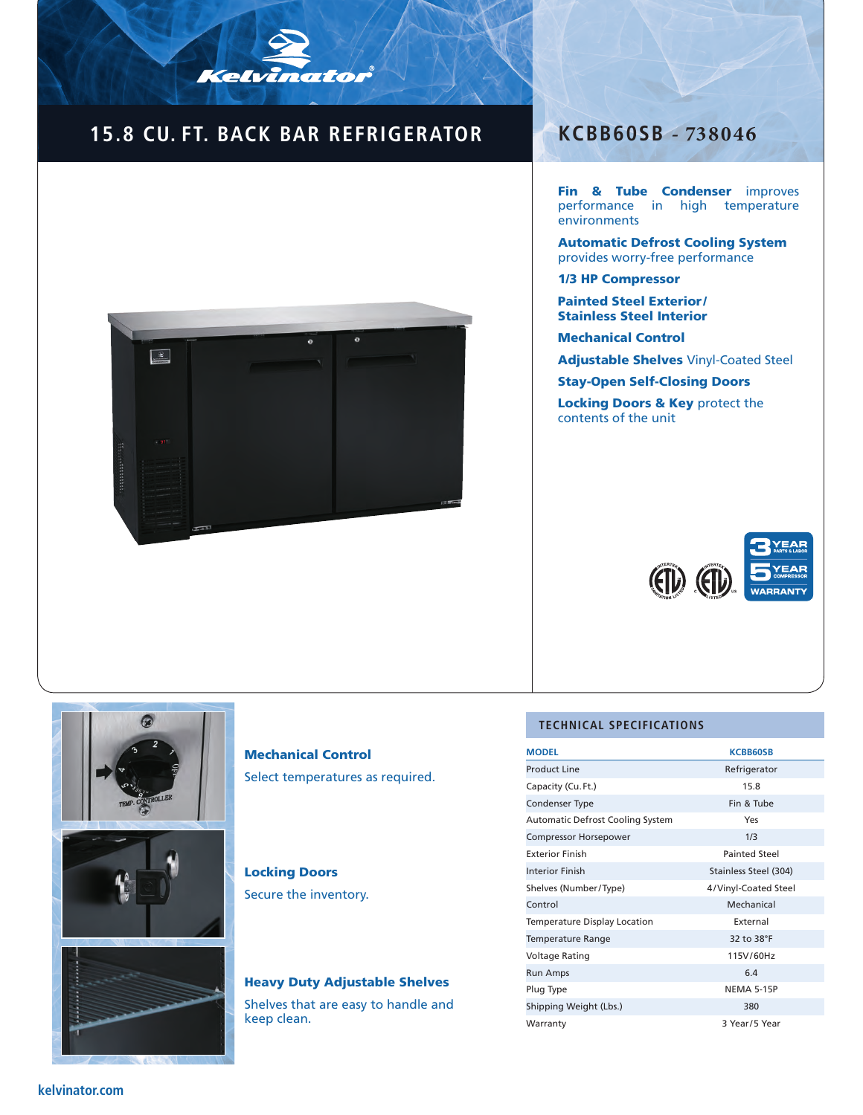# **15.8 CU. FT. BACK BAR REFRIGERATOR**

Kelvinator



## **KCBB60SB - 738046**

Fin & Tube Condenser improves performance in high temperature environments

Automatic Defrost Cooling System provides worry-free performance

1/3 HP Compressor

Painted Steel Exterior / Stainless Steel Interior

Mechanical Control

Adjustable Shelves Vinyl-Coated Steel

Stay-Open Self-Closing Doors

Locking Doors & Key protect the contents of the unit





Mechanical Control Select temperatures as required.

### Locking Doors

Secure the inventory.

# Heavy Duty Adjustable Shelves

Shelves that are easy to handle and keep clean.

#### **TECHNICAL SPECIFICATIONS**

| <b>MODEL</b>                            | <b>KCBB60SB</b>       |
|-----------------------------------------|-----------------------|
| <b>Product Line</b>                     | Refrigerator          |
| Capacity (Cu. Ft.)                      | 15.8                  |
| Condenser Type                          | Fin & Tube            |
| <b>Automatic Defrost Cooling System</b> | Yes                   |
| <b>Compressor Horsepower</b>            | 1/3                   |
| <b>Exterior Finish</b>                  | Painted Steel         |
| <b>Interior Finish</b>                  | Stainless Steel (304) |
| Shelves (Number/Type)                   | 4/Vinyl-Coated Steel  |
| Control                                 | Mechanical            |
| Temperature Display Location            | External              |
| Temperature Range                       | 32 to 38°F            |
| Voltage Rating                          | 115V/60Hz             |
| <b>Run Amps</b>                         | 6.4                   |
| Plug Type                               | <b>NEMA 5-15P</b>     |
| Shipping Weight (Lbs.)                  | 380                   |
| Warranty                                | 3 Year/5 Year         |

 **kelvinator.com**